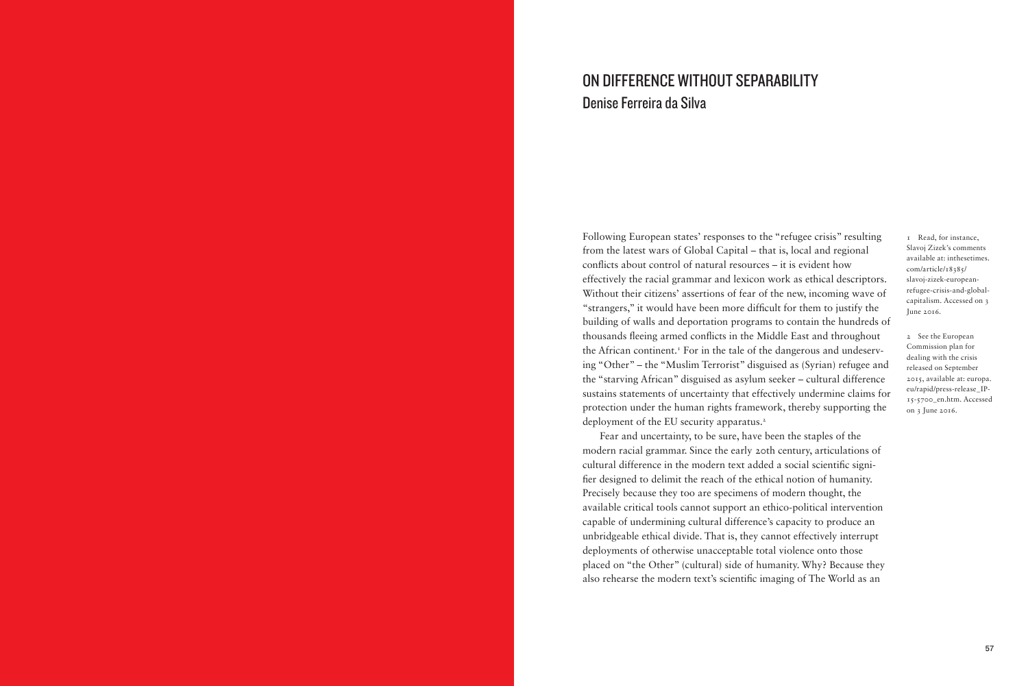## ON DIFFERENCE WITHOUT SEPARABILITY Denise Ferreira da Silva

Following European states' responses to the "refugee crisis" resulting from the latest wars of Global Capital – that is, local and regional conficts about control of natural resources – it is evident how effectively the racial grammar and lexicon work as ethical descriptors. Without their citizens' assertions of fear of the new, incoming wave of "strangers," it would have been more diffcult for them to justify the building of walls and deportation programs to contain the hundreds of thousands feeing armed conficts in the Middle East and throughout the African continent.<sup>1</sup> For in the tale of the dangerous and undeserving "Other" – the "Muslim Terrorist" disguised as (Syrian) refugee and the "starving African" disguised as asylum seeker – cultural difference sustains statements of uncertainty that effectively undermine claims for protection under the human rights framework, thereby supporting the deployment of the EU security apparatus.<sup>2</sup>

Fear and uncertainty, to be sure, have been the staples of the modern racial grammar. Since the early 20th century, articulations of cultural difference in the modern text added a social scientifc signifer designed to delimit the reach of the ethical notion of humanity. Precisely because they too are specimens of modern thought, the available critical tools cannot support an ethico-political intervention capable of undermining cultural difference's capacity to produce an unbridgeable ethical divide. That is, they cannot effectively interrupt deployments of otherwise unacceptable total violence onto those placed on "the Other" (cultural) side of humanity. Why? Because they also rehearse the modern text's scientifc imaging of The World as an

1 Read, for instance, Slavoj Zizek's comments available at: inthesetimes. com/article/18385/ slavoj-zizek-europeanrefugee-crisis-and-globalcapitalism. Accessed on 3 June 2016.

2 See the European Commission plan for dealing with the crisis released on September 2015, available at: europa. eu/rapid/press-release\_IP-15-5700\_en.htm. Accessed on 3 June 2016.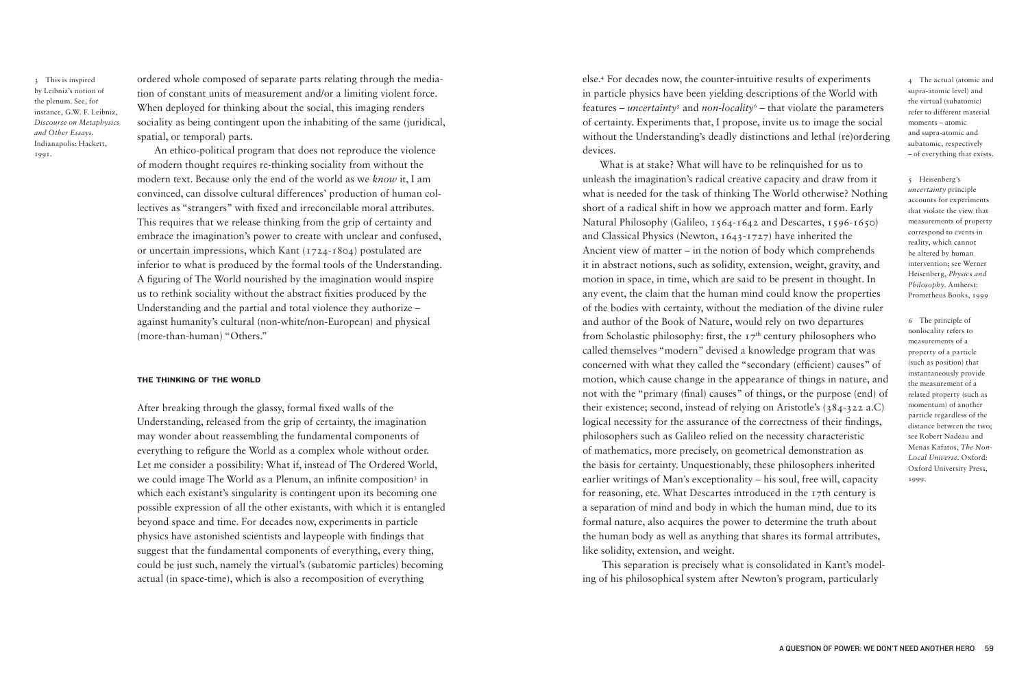3 This is inspired by Leibniz's notion of the plenum. See, for instance, G.W. F. Leibniz, *Discourse on Metaphysics and Other Essays*. Indianapolis: Hackett, 1991.

ordered whole composed of separate parts relating through the mediation of constant units of measurement and/or a limiting violent force. When deployed for thinking about the social, this imaging renders sociality as being contingent upon the inhabiting of the same (juridical, spatial, or temporal) parts.

An ethico-political program that does not reproduce the violence of modern thought requires re-thinking sociality from without the modern text. Because only the end of the world as we *know* it, I am convinced, can dissolve cultural differences' production of human collectives as "strangers" with fxed and irreconcilable moral attributes. This requires that we release thinking from the grip of certainty and embrace the imagination's power to create with unclear and confused, or uncertain impressions, which Kant (1724-1804) postulated are inferior to what is produced by the formal tools of the Understanding. A fguring of The World nourished by the imagination would inspire us to rethink sociality without the abstract fxities produced by the Understanding and the partial and total violence they authorize – against humanity's cultural (non-white/non-European) and physical (more-than-human) "Others."

## THE THINKING OF THE WORLD

After breaking through the glassy, formal fxed walls of the Understanding, released from the grip of certainty, the imagination may wonder about reassembling the fundamental components of everything to refgure the World as a complex whole without order. Let me consider a possibility: What if, instead of The Ordered World, we could image The World as a Plenum, an infinite composition<sup>3</sup> in which each existant's singularity is contingent upon its becoming one possible expression of all the other existants, with which it is entangled beyond space and time. For decades now, experiments in particle physics have astonished scientists and laypeople with fndings that suggest that the fundamental components of everything, every thing, could be just such, namely the virtual's (subatomic particles) becoming actual (in space-time), which is also a recomposition of everything

else.<sup>4</sup> For decades now, the counter-intuitive results of experiments in particle physics have been yielding descriptions of the World with features – *uncertainty*<sup>5</sup> and *non-locality*<sup>6</sup> – that violate the parameters of certainty. Experiments that, I propose, invite us to image the social without the Understanding's deadly distinctions and lethal (re)ordering devices.

What is at stake? What will have to be relinquished for us to unleash the imagination's radical creative capacity and draw from it what is needed for the task of thinking The World otherwise? Nothing short of a radical shift in how we approach matter and form. Early Natural Philosophy (Galileo, 1564-1642 and Descartes, 1596-1650) and Classical Physics (Newton, 1643-1727) have inherited the Ancient view of matter – in the notion of body which comprehends it in abstract notions, such as solidity, extension, weight, gravity, and motion in space, in time, which are said to be present in thought. In any event, the claim that the human mind could know the properties of the bodies with certainty, without the mediation of the divine ruler and author of the Book of Nature, would rely on two departures from Scholastic philosophy: first, the  $17<sup>th</sup>$  century philosophers who called themselves "modern" devised a knowledge program that was concerned with what they called the "secondary (efficient) causes" of motion, which cause change in the appearance of things in nature, and not with the "primary (fnal) causes" of things, or the purpose (end) of their existence; second, instead of relying on Aristotle's (384-322 a.C) logical necessity for the assurance of the correctness of their findings, philosophers such as Galileo relied on the necessity characteristic of mathematics, more precisely, on geometrical demonstration as the basis for certainty. Unquestionably, these philosophers inherited earlier writings of Man's exceptionality – his soul, free will, capacity for reasoning, etc. What Descartes introduced in the 17th century is a separation of mind and body in which the human mind, due to its formal nature, also acquires the power to determine the truth about the human body as well as anything that shares its formal attributes, like solidity, extension, and weight.

 This separation is precisely what is consolidated in Kant's modeling of his philosophical system after Newton's program, particularly

4 The actual (atomic and supra-atomic level) and the virtual (subatomic) refer to different material moments – atomic and supra-atomic and subatomic, respectively – of everything that exists.

5 Heisenberg's *uncertainty* principle accounts for experiments that violate the view that measurements of property correspond to events in reality, which cannot be altered by human intervention; see Werner Heisenberg, *Physics and Philosophy*. Amherst: Prometheus Books, 1999

6 The principle of nonlocality refers to measurements of a property of a particle (such as position) that instantaneously provide the measurement of a related property (such as momentum) of another particle regardless of the distance between the two; see Robert Nadeau and Menas Kafatos, *The Non-Local Universe*. Oxford: Oxford University Press, 1999.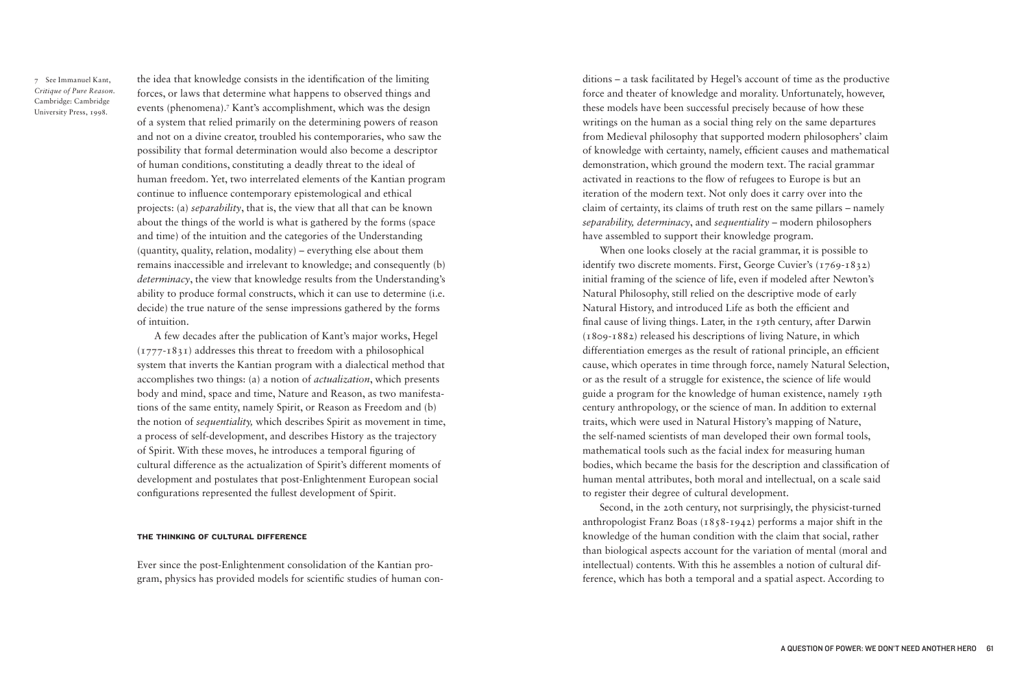7 See Immanuel Kant, *Critique of Pure Reason*. Cambridge: Cambridge University Press, 1998.

the idea that knowledge consists in the identifcation of the limiting forces, or laws that determine what happens to observed things and events (phenomena).<sup>7</sup> Kant's accomplishment, which was the design of a system that relied primarily on the determining powers of reason and not on a divine creator, troubled his contemporaries, who saw the possibility that formal determination would also become a descriptor of human conditions, constituting a deadly threat to the ideal of human freedom. Yet, two interrelated elements of the Kantian program continue to infuence contemporary epistemological and ethical projects: (a) *separability*, that is, the view that all that can be known about the things of the world is what is gathered by the forms (space and time) of the intuition and the categories of the Understanding (quantity, quality, relation, modality) – everything else about them remains inaccessible and irrelevant to knowledge; and consequently (b) *determinacy*, the view that knowledge results from the Understanding's ability to produce formal constructs, which it can use to determine (i.e. decide) the true nature of the sense impressions gathered by the forms of intuition.

A few decades after the publication of Kant's major works, Hegel  $(1777-1831)$  addresses this threat to freedom with a philosophical system that inverts the Kantian program with a dialectical method that accomplishes two things: (a) a notion of *actualization*, which presents body and mind, space and time, Nature and Reason, as two manifestations of the same entity, namely Spirit, or Reason as Freedom and (b) the notion of *sequentiality,* which describes Spirit as movement in time, a process of self-development, and describes History as the trajectory of Spirit. With these moves, he introduces a temporal fguring of cultural difference as the actualization of Spirit's different moments of development and postulates that post-Enlightenment European social confgurations represented the fullest development of Spirit.

## THE THINKING OF CULTURAL DIFFERENCE

Ever since the post-Enlightenment consolidation of the Kantian program, physics has provided models for scientifc studies of human con-

ditions – a task facilitated by Hegel's account of time as the productive force and theater of knowledge and morality. Unfortunately, however, these models have been successful precisely because of how these writings on the human as a social thing rely on the same departures from Medieval philosophy that supported modern philosophers' claim of knowledge with certainty, namely, effcient causes and mathematical demonstration, which ground the modern text. The racial grammar activated in reactions to the flow of refugees to Europe is but an iteration of the modern text. Not only does it carry over into the claim of certainty, its claims of truth rest on the same pillars – namely *separability, determinacy*, and *sequentiality* – modern philosophers have assembled to support their knowledge program.

When one looks closely at the racial grammar, it is possible to identify two discrete moments. First, George Cuvier's (1769-1832) initial framing of the science of life, even if modeled after Newton's Natural Philosophy, still relied on the descriptive mode of early Natural History, and introduced Life as both the efficient and fnal cause of living things. Later, in the 19th century, after Darwin (1809-1882) released his descriptions of living Nature, in which differentiation emerges as the result of rational principle, an efficient cause, which operates in time through force, namely Natural Selection, or as the result of a struggle for existence, the science of life would guide a program for the knowledge of human existence, namely 19th century anthropology, or the science of man. In addition to external traits, which were used in Natural History's mapping of Nature, the self-named scientists of man developed their own formal tools, mathematical tools such as the facial index for measuring human bodies, which became the basis for the description and classifcation of human mental attributes, both moral and intellectual, on a scale said to register their degree of cultural development.

Second, in the 20th century, not surprisingly, the physicist-turned anthropologist Franz Boas (1858-1942) performs a major shift in the knowledge of the human condition with the claim that social, rather than biological aspects account for the variation of mental (moral and intellectual) contents. With this he assembles a notion of cultural difference, which has both a temporal and a spatial aspect. According to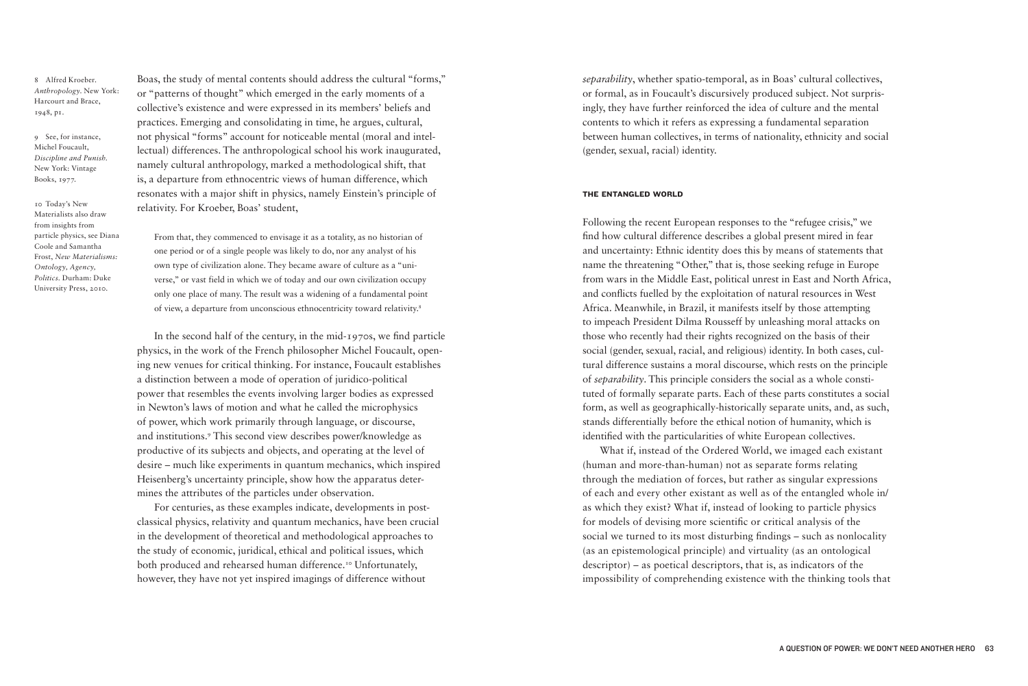8 Alfred Kroeber. *Anthropology*. New York: Harcourt and Brace, 1948, p1.

9 See, for instance, Michel Foucault, *Discipline and Punish*. New York: Vintage Books, 1977.

10 Today's New Materialists also draw from insights from particle physics, see Diana Coole and Samantha Frost, *New Materialisms: Ontology, Agency, Politics*. Durham: Duke University Press, 2010.

Boas, the study of mental contents should address the cultural "forms," or "patterns of thought" which emerged in the early moments of a collective's existence and were expressed in its members' beliefs and practices. Emerging and consolidating in time, he argues, cultural, not physical "forms" account for noticeable mental (moral and intellectual) differences. The anthropological school his work inaugurated, namely cultural anthropology, marked a methodological shift, that is, a departure from ethnocentric views of human difference, which resonates with a major shift in physics, namely Einstein's principle of relativity. For Kroeber, Boas' student,

From that, they commenced to envisage it as a totality, as no historian of one period or of a single people was likely to do, nor any analyst of his own type of civilization alone. They became aware of culture as a "universe," or vast field in which we of today and our own civilization occupy only one place of many. The result was a widening of a fundamental point of view, a departure from unconscious ethnocentricity toward relativity.<sup>8</sup>

In the second half of the century, in the mid-1970s, we fnd particle physics, in the work of the French philosopher Michel Foucault, opening new venues for critical thinking. For instance, Foucault establishes a distinction between a mode of operation of juridico-political power that resembles the events involving larger bodies as expressed in Newton's laws of motion and what he called the microphysics of power, which work primarily through language, or discourse, and institutions.<sup>9</sup> This second view describes power/knowledge as productive of its subjects and objects, and operating at the level of desire – much like experiments in quantum mechanics, which inspired Heisenberg's uncertainty principle, show how the apparatus determines the attributes of the particles under observation.

For centuries, as these examples indicate, developments in postclassical physics, relativity and quantum mechanics, have been crucial in the development of theoretical and methodological approaches to the study of economic, juridical, ethical and political issues, which both produced and rehearsed human difference.<sup>10</sup> Unfortunately, however, they have not yet inspired imagings of difference without

*separability*, whether spatio-temporal, as in Boas' cultural collectives, or formal, as in Foucault's discursively produced subject. Not surprisingly, they have further reinforced the idea of culture and the mental contents to which it refers as expressing a fundamental separation between human collectives, in terms of nationality, ethnicity and social (gender, sexual, racial) identity.

## THE ENTANGLED WORLD

Following the recent European responses to the "refugee crisis," we fnd how cultural difference describes a global present mired in fear and uncertainty: Ethnic identity does this by means of statements that name the threatening "Other," that is, those seeking refuge in Europe from wars in the Middle East, political unrest in East and North Africa, and conficts fuelled by the exploitation of natural resources in West Africa. Meanwhile, in Brazil, it manifests itself by those attempting to impeach President Dilma Rousseff by unleashing moral attacks on those who recently had their rights recognized on the basis of their social (gender, sexual, racial, and religious) identity. In both cases, cultural difference sustains a moral discourse, which rests on the principle of *separability*. This principle considers the social as a whole constituted of formally separate parts. Each of these parts constitutes a social form, as well as geographically-historically separate units, and, as such, stands differentially before the ethical notion of humanity, which is identifed with the particularities of white European collectives.

What if, instead of the Ordered World, we imaged each existant (human and more-than-human) not as separate forms relating through the mediation of forces, but rather as singular expressions of each and every other existant as well as of the entangled whole in/ as which they exist? What if, instead of looking to particle physics for models of devising more scientifc or critical analysis of the social we turned to its most disturbing fndings – such as nonlocality (as an epistemological principle) and virtuality (as an ontological descriptor) – as poetical descriptors, that is, as indicators of the impossibility of comprehending existence with the thinking tools that